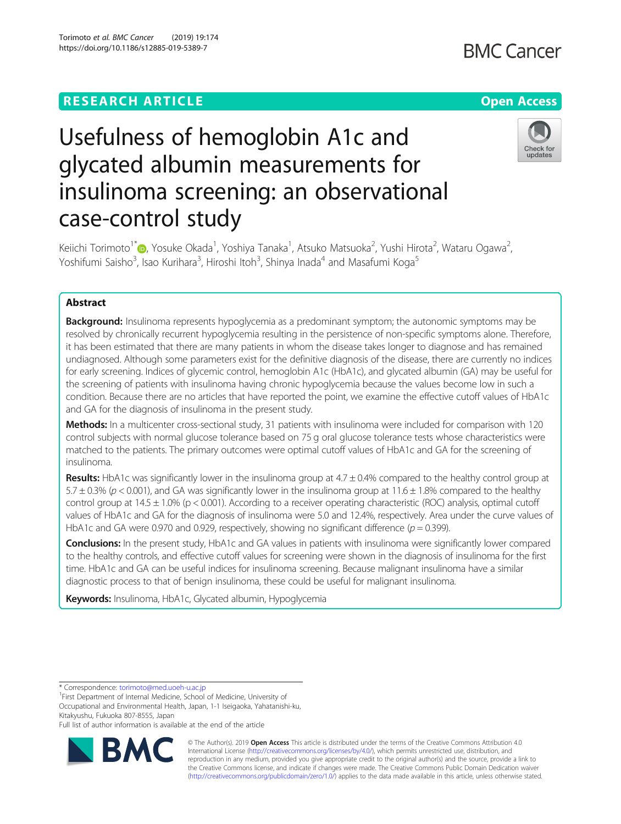Torimoto et al. BMC Cancer (2019) 19:174 https://doi.org/10.1186/s12885-019-5389-7

# Usefulness of hemoglobin A1c and glycated albumin measurements for insulinoma screening: an observational case-control study



Keiichi Torimoto<sup>1\*</sup> (@[,](http://orcid.org/0000-0002-5174-5980) Yosuke Okada<sup>1</sup>, Yoshiya Tanaka<sup>1</sup>, Atsuko Matsuoka<sup>2</sup>, Yushi Hirota<sup>2</sup>, Wataru Ogawa<sup>2</sup> , Yoshifumi Saisho<sup>3</sup>, Isao Kurihara<sup>3</sup>, Hiroshi Itoh<sup>3</sup>, Shinya Inada<sup>4</sup> and Masafumi Koga<sup>5</sup>

# Abstract

**Background:** Insulinoma represents hypoglycemia as a predominant symptom; the autonomic symptoms may be resolved by chronically recurrent hypoglycemia resulting in the persistence of non-specific symptoms alone. Therefore, it has been estimated that there are many patients in whom the disease takes longer to diagnose and has remained undiagnosed. Although some parameters exist for the definitive diagnosis of the disease, there are currently no indices for early screening. Indices of glycemic control, hemoglobin A1c (HbA1c), and glycated albumin (GA) may be useful for the screening of patients with insulinoma having chronic hypoglycemia because the values become low in such a condition. Because there are no articles that have reported the point, we examine the effective cutoff values of HbA1c and GA for the diagnosis of insulinoma in the present study.

Methods: In a multicenter cross-sectional study, 31 patients with insulinoma were included for comparison with 120 control subjects with normal glucose tolerance based on 75 g oral glucose tolerance tests whose characteristics were matched to the patients. The primary outcomes were optimal cutoff values of HbA1c and GA for the screening of insulinoma.

Results: HbA1c was significantly lower in the insulinoma group at  $4.7 \pm 0.4\%$  compared to the healthy control group at 5.7  $\pm$  0.3% (p < 0.001), and GA was significantly lower in the insulinoma group at 11.6  $\pm$  1.8% compared to the healthy control group at  $14.5 \pm 1.0\%$  (p < 0.001). According to a receiver operating characteristic (ROC) analysis, optimal cutoff values of HbA1c and GA for the diagnosis of insulinoma were 5.0 and 12.4%, respectively. Area under the curve values of HbA1c and GA were 0.970 and 0.929, respectively, showing no significant difference ( $p = 0.399$ ).

Conclusions: In the present study, HbA1c and GA values in patients with insulinoma were significantly lower compared to the healthy controls, and effective cutoff values for screening were shown in the diagnosis of insulinoma for the first time. HbA1c and GA can be useful indices for insulinoma screening. Because malignant insulinoma have a similar diagnostic process to that of benign insulinoma, these could be useful for malignant insulinoma.

Keywords: Insulinoma, HbA1c, Glycated albumin, Hypoglycemia

\* Correspondence: [torimoto@med.uoeh-u.ac.jp](mailto:torimoto@med.uoeh-u.ac.jp) <sup>1</sup>

<sup>1</sup>First Department of Internal Medicine, School of Medicine, University of Occupational and Environmental Health, Japan, 1-1 Iseigaoka, Yahatanishi-ku, Kitakyushu, Fukuoka 807-8555, Japan

Full list of author information is available at the end of the article



© The Author(s). 2019 **Open Access** This article is distributed under the terms of the Creative Commons Attribution 4.0 International License [\(http://creativecommons.org/licenses/by/4.0/](http://creativecommons.org/licenses/by/4.0/)), which permits unrestricted use, distribution, and reproduction in any medium, provided you give appropriate credit to the original author(s) and the source, provide a link to the Creative Commons license, and indicate if changes were made. The Creative Commons Public Domain Dedication waiver [\(http://creativecommons.org/publicdomain/zero/1.0/](http://creativecommons.org/publicdomain/zero/1.0/)) applies to the data made available in this article, unless otherwise stated.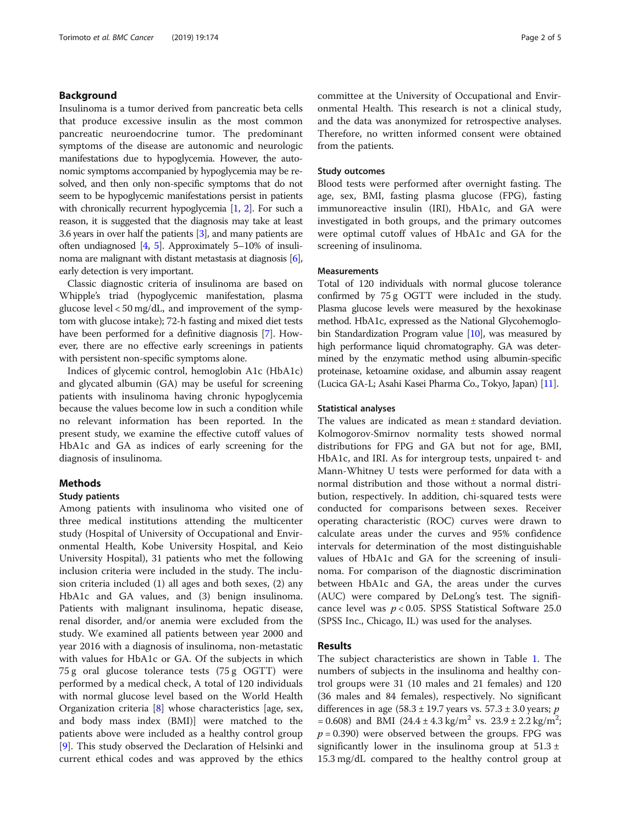# Background

Insulinoma is a tumor derived from pancreatic beta cells that produce excessive insulin as the most common pancreatic neuroendocrine tumor. The predominant symptoms of the disease are autonomic and neurologic manifestations due to hypoglycemia. However, the autonomic symptoms accompanied by hypoglycemia may be resolved, and then only non-specific symptoms that do not seem to be hypoglycemic manifestations persist in patients with chronically recurrent hypoglycemia [\[1,](#page-4-0) [2\]](#page-4-0). For such a reason, it is suggested that the diagnosis may take at least 3.6 years in over half the patients [\[3\]](#page-4-0), and many patients are often undiagnosed  $[4, 5]$  $[4, 5]$  $[4, 5]$ . Approximately 5–10% of insulinoma are malignant with distant metastasis at diagnosis [[6](#page-4-0)], early detection is very important.

Classic diagnostic criteria of insulinoma are based on Whipple's triad (hypoglycemic manifestation, plasma glucose level < 50 mg/dL, and improvement of the symptom with glucose intake); 72-h fasting and mixed diet tests have been performed for a definitive diagnosis [\[7\]](#page-4-0). However, there are no effective early screenings in patients with persistent non-specific symptoms alone.

Indices of glycemic control, hemoglobin A1c (HbA1c) and glycated albumin (GA) may be useful for screening patients with insulinoma having chronic hypoglycemia because the values become low in such a condition while no relevant information has been reported. In the present study, we examine the effective cutoff values of HbA1c and GA as indices of early screening for the diagnosis of insulinoma.

# Methods

# Study patients

Among patients with insulinoma who visited one of three medical institutions attending the multicenter study (Hospital of University of Occupational and Environmental Health, Kobe University Hospital, and Keio University Hospital), 31 patients who met the following inclusion criteria were included in the study. The inclusion criteria included (1) all ages and both sexes, (2) any HbA1c and GA values, and (3) benign insulinoma. Patients with malignant insulinoma, hepatic disease, renal disorder, and/or anemia were excluded from the study. We examined all patients between year 2000 and year 2016 with a diagnosis of insulinoma, non-metastatic with values for HbA1c or GA. Of the subjects in which 75 g oral glucose tolerance tests (75 g OGTT) were performed by a medical check, A total of 120 individuals with normal glucose level based on the World Health Organization criteria [[8\]](#page-4-0) whose characteristics [age, sex, and body mass index (BMI)] were matched to the patients above were included as a healthy control group [[9\]](#page-4-0). This study observed the Declaration of Helsinki and current ethical codes and was approved by the ethics committee at the University of Occupational and Environmental Health. This research is not a clinical study, and the data was anonymized for retrospective analyses. Therefore, no written informed consent were obtained from the patients.

#### Study outcomes

Blood tests were performed after overnight fasting. The age, sex, BMI, fasting plasma glucose (FPG), fasting immunoreactive insulin (IRI), HbA1c, and GA were investigated in both groups, and the primary outcomes were optimal cutoff values of HbA1c and GA for the screening of insulinoma.

### **Measurements**

Total of 120 individuals with normal glucose tolerance confirmed by 75 g OGTT were included in the study. Plasma glucose levels were measured by the hexokinase method. HbA1c, expressed as the National Glycohemoglobin Standardization Program value  $[10]$  $[10]$ , was measured by high performance liquid chromatography. GA was determined by the enzymatic method using albumin-specific proteinase, ketoamine oxidase, and albumin assay reagent (Lucica GA-L; Asahi Kasei Pharma Co., Tokyo, Japan) [\[11\]](#page-4-0).

#### Statistical analyses

The values are indicated as mean ± standard deviation. Kolmogorov-Smirnov normality tests showed normal distributions for FPG and GA but not for age, BMI, HbA1c, and IRI. As for intergroup tests, unpaired t- and Mann-Whitney U tests were performed for data with a normal distribution and those without a normal distribution, respectively. In addition, chi-squared tests were conducted for comparisons between sexes. Receiver operating characteristic (ROC) curves were drawn to calculate areas under the curves and 95% confidence intervals for determination of the most distinguishable values of HbA1c and GA for the screening of insulinoma. For comparison of the diagnostic discrimination between HbA1c and GA, the areas under the curves (AUC) were compared by DeLong's test. The significance level was  $p < 0.05$ . SPSS Statistical Software 25.0 (SPSS Inc., Chicago, IL) was used for the analyses.

# Results

The subject characteristics are shown in Table [1](#page-2-0). The numbers of subjects in the insulinoma and healthy control groups were 31 (10 males and 21 females) and 120 (36 males and 84 females), respectively. No significant differences in age (58.3  $\pm$  19.7 years vs. 57.3  $\pm$  3.0 years; p  $= 0.608$ ) and BMI (24.4 ± 4.3 kg/m<sup>2</sup> vs. 23.9 ± 2.2 kg/m<sup>2</sup>;  $p = 0.390$ ) were observed between the groups. FPG was significantly lower in the insulinoma group at  $51.3 \pm$ 15.3 mg/dL compared to the healthy control group at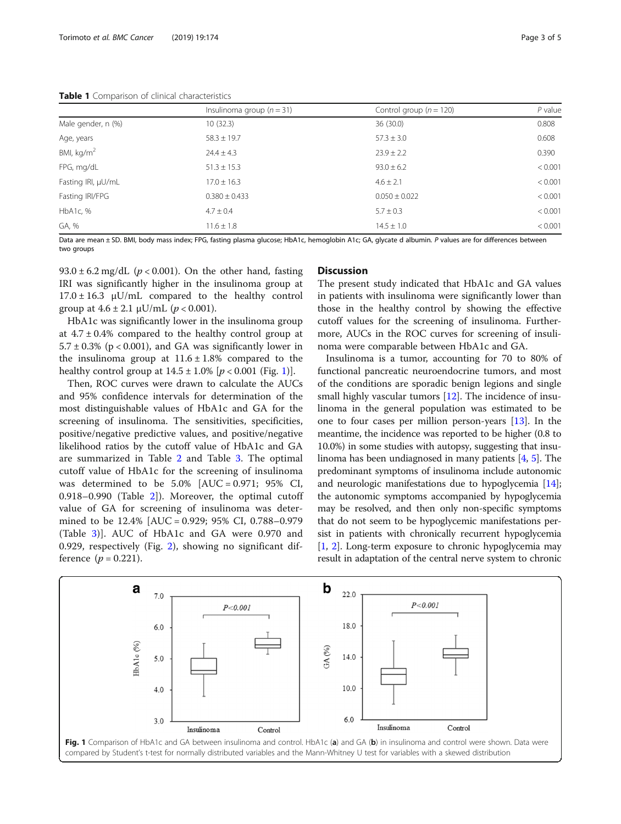<span id="page-2-0"></span>Table 1 Comparison of clinical characteristics

|                      | Insulinoma group $(n=31)$ | Control group ( $n = 120$ ) | $P$ value |
|----------------------|---------------------------|-----------------------------|-----------|
| Male gender, n (%)   | 10(32.3)                  | 36(30.0)                    | 0.808     |
| Age, years           | $58.3 \pm 19.7$           | $57.3 \pm 3.0$              | 0.608     |
| BMI, $\text{kg/m}^2$ | $24.4 \pm 4.3$            | $23.9 \pm 2.2$              | 0.390     |
| FPG, mg/dL           | $51.3 \pm 15.3$           | $93.0 \pm 6.2$              | < 0.001   |
| Fasting IRI, µU/mL   | $17.0 \pm 16.3$           | $4.6 \pm 2.1$               | < 0.001   |
| Fasting IRI/FPG      | $0.380 \pm 0.433$         | $0.050 \pm 0.022$           | < 0.001   |
| HbA1c, %             | $4.7 \pm 0.4$             | $5.7 \pm 0.3$               | < 0.001   |
| GA, %                | $11.6 \pm 1.8$            | $14.5 \pm 1.0$              | < 0.001   |

Data are mean ± SD. BMI, body mass index; FPG, fasting plasma glucose; HbA1c, hemoglobin A1c; GA, glycate d albumin. P values are for differences between two groups

93.0  $\pm$  6.2 mg/dL ( $p$  < 0.001). On the other hand, fasting IRI was significantly higher in the insulinoma group at  $17.0 \pm 16.3$   $\mu$ U/mL compared to the healthy control group at  $4.6 \pm 2.1 \mu U/mL$  ( $p < 0.001$ ).

HbA1c was significantly lower in the insulinoma group at  $4.7 \pm 0.4\%$  compared to the healthy control group at  $5.7 \pm 0.3\%$  (p < 0.001), and GA was significantly lower in the insulinoma group at  $11.6 \pm 1.8\%$  compared to the healthy control group at  $14.5 \pm 1.0\%$  [ $p < 0.001$  (Fig. 1)].

Then, ROC curves were drawn to calculate the AUCs and 95% confidence intervals for determination of the most distinguishable values of HbA1c and GA for the screening of insulinoma. The sensitivities, specificities, positive/negative predictive values, and positive/negative likelihood ratios by the cutoff value of HbA1c and GA are summarized in Table [2](#page-3-0) and Table [3.](#page-3-0) The optimal cutoff value of HbA1c for the screening of insulinoma was determined to be  $5.0\%$  [AUC = 0.971; 95% CI, 0.918–0.990 (Table [2\]](#page-3-0)). Moreover, the optimal cutoff value of GA for screening of insulinoma was determined to be 12.4% [AUC = 0.929; 95% CI, 0.788–0.979 (Table [3](#page-3-0))]. AUC of HbA1c and GA were 0.970 and 0.929, respectively (Fig. [2\)](#page-3-0), showing no significant difference  $(p = 0.221)$ .

# **Discussion**

The present study indicated that HbA1c and GA values in patients with insulinoma were significantly lower than those in the healthy control by showing the effective cutoff values for the screening of insulinoma. Furthermore, AUCs in the ROC curves for screening of insulinoma were comparable between HbA1c and GA.

Insulinoma is a tumor, accounting for 70 to 80% of functional pancreatic neuroendocrine tumors, and most of the conditions are sporadic benign legions and single small highly vascular tumors [\[12](#page-4-0)]. The incidence of insulinoma in the general population was estimated to be one to four cases per million person-years [\[13](#page-4-0)]. In the meantime, the incidence was reported to be higher (0.8 to 10.0%) in some studies with autopsy, suggesting that insulinoma has been undiagnosed in many patients [\[4,](#page-4-0) [5\]](#page-4-0). The predominant symptoms of insulinoma include autonomic and neurologic manifestations due to hypoglycemia [[14](#page-4-0)]; the autonomic symptoms accompanied by hypoglycemia may be resolved, and then only non-specific symptoms that do not seem to be hypoglycemic manifestations persist in patients with chronically recurrent hypoglycemia [[1,](#page-4-0) [2](#page-4-0)]. Long-term exposure to chronic hypoglycemia may result in adaptation of the central nerve system to chronic

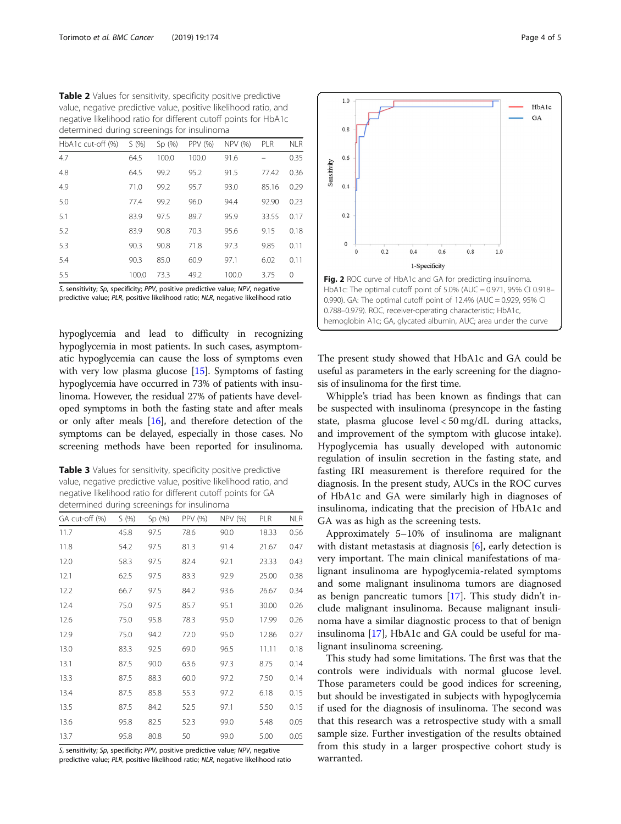<span id="page-3-0"></span>

| Table 2 Values for sensitivity, specificity positive predictive  |
|------------------------------------------------------------------|
| value, negative predictive value, positive likelihood ratio, and |
| negative likelihood ratio for different cutoff points for HbA1c  |
| determined during screenings for insulinoma                      |

| HbA1c cut-off (%) | S(96) | Sp(%) | PPV (%) | NPV (%) | <b>PLR</b> | <b>NLR</b> |
|-------------------|-------|-------|---------|---------|------------|------------|
| 4.7               | 64.5  | 100.0 | 100.0   | 91.6    |            | 0.35       |
| 4.8               | 64.5  | 99.2  | 95.2    | 91.5    | 77.42      | 0.36       |
| 4.9               | 71.0  | 99.2  | 95.7    | 93.0    | 85.16      | 0.29       |
| 5.0               | 77.4  | 99.2  | 96.0    | 94.4    | 92.90      | 0.23       |
| 5.1               | 83.9  | 97.5  | 89.7    | 95.9    | 33.55      | 0.17       |
| 5.2               | 83.9  | 90.8  | 70.3    | 95.6    | 9.15       | 0.18       |
| 5.3               | 90.3  | 90.8  | 71.8    | 97.3    | 9.85       | 0.11       |
| 5.4               | 90.3  | 85.0  | 60.9    | 97.1    | 6.02       | 0.11       |
| 5.5               | 100.0 | 73.3  | 49.2    | 100.0   | 3.75       | 0          |

S, sensitivity; Sp, specificity; PPV, positive predictive value; NPV, negative predictive value; PLR, positive likelihood ratio; NLR, negative likelihood ratio

hypoglycemia and lead to difficulty in recognizing hypoglycemia in most patients. In such cases, asymptomatic hypoglycemia can cause the loss of symptoms even with very low plasma glucose [[15](#page-4-0)]. Symptoms of fasting hypoglycemia have occurred in 73% of patients with insulinoma. However, the residual 27% of patients have developed symptoms in both the fasting state and after meals or only after meals [[16](#page-4-0)], and therefore detection of the symptoms can be delayed, especially in those cases. No screening methods have been reported for insulinoma.

Table 3 Values for sensitivity, specificity positive predictive value, negative predictive value, positive likelihood ratio, and negative likelihood ratio for different cutoff points for GA determined during screenings for insulinoma

| GA cut-off (%) | S(96) | Sp (%) | PPV (%) | NPV (%) | PLR   | <b>NLR</b> |
|----------------|-------|--------|---------|---------|-------|------------|
| 11.7           | 45.8  | 97.5   | 78.6    | 90.0    | 18.33 | 0.56       |
| 11.8           | 54.2  | 97.5   | 81.3    | 91.4    | 21.67 | 0.47       |
| 12.0           | 58.3  | 97.5   | 82.4    | 92.1    | 23.33 | 0.43       |
| 12.1           | 62.5  | 97.5   | 83.3    | 92.9    | 25.00 | 0.38       |
| 12.2           | 66.7  | 97.5   | 84.2    | 93.6    | 26.67 | 0.34       |
| 12.4           | 75.0  | 97.5   | 85.7    | 95.1    | 30.00 | 0.26       |
| 12.6           | 75.0  | 95.8   | 78.3    | 95.0    | 17.99 | 0.26       |
| 12.9           | 75.0  | 94.2   | 72.0    | 95.0    | 12.86 | 0.27       |
| 13.0           | 83.3  | 92.5   | 69.0    | 96.5    | 11.11 | 0.18       |
| 13.1           | 87.5  | 90.0   | 63.6    | 97.3    | 8.75  | 0.14       |
| 13.3           | 87.5  | 88.3   | 60.0    | 97.2    | 7.50  | 0.14       |
| 13.4           | 87.5  | 85.8   | 55.3    | 97.2    | 6.18  | 0.15       |
| 13.5           | 87.5  | 84.2   | 52.5    | 97.1    | 5.50  | 0.15       |
| 13.6           | 95.8  | 82.5   | 52.3    | 99.0    | 5.48  | 0.05       |
| 13.7           | 95.8  | 80.8   | 50      | 99.0    | 5.00  | 0.05       |

S, sensitivity; Sp, specificity; PPV, positive predictive value; NPV, negative predictive value; PLR, positive likelihood ratio; NLR, negative likelihood ratio



The present study showed that HbA1c and GA could be useful as parameters in the early screening for the diagnosis of insulinoma for the first time.

Whipple's triad has been known as findings that can be suspected with insulinoma (presyncope in the fasting state, plasma glucose level < 50 mg/dL during attacks, and improvement of the symptom with glucose intake). Hypoglycemia has usually developed with autonomic regulation of insulin secretion in the fasting state, and fasting IRI measurement is therefore required for the diagnosis. In the present study, AUCs in the ROC curves of HbA1c and GA were similarly high in diagnoses of insulinoma, indicating that the precision of HbA1c and GA was as high as the screening tests.

Approximately 5–10% of insulinoma are malignant with distant metastasis at diagnosis [[6](#page-4-0)], early detection is very important. The main clinical manifestations of malignant insulinoma are hypoglycemia-related symptoms and some malignant insulinoma tumors are diagnosed as benign pancreatic tumors [[17\]](#page-4-0). This study didn't include malignant insulinoma. Because malignant insulinoma have a similar diagnostic process to that of benign insulinoma [\[17](#page-4-0)], HbA1c and GA could be useful for malignant insulinoma screening.

This study had some limitations. The first was that the controls were individuals with normal glucose level. Those parameters could be good indices for screening, but should be investigated in subjects with hypoglycemia if used for the diagnosis of insulinoma. The second was that this research was a retrospective study with a small sample size. Further investigation of the results obtained from this study in a larger prospective cohort study is warranted.